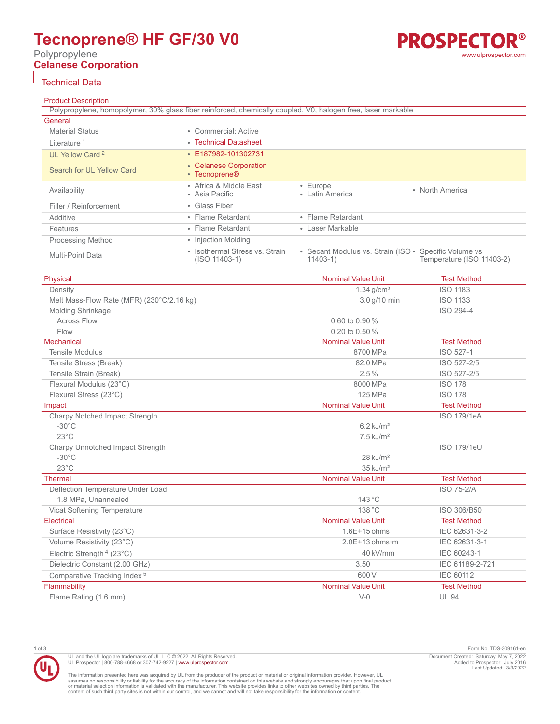# **Tecnoprene® HF GF/30 V0**

Polypropylene **Celanese Corporation**

## Technical Data

Product Description Polypropylene, homopolymer, 30% glass fiber reinforced, chemically coupled, V0, halogen free, laser markable **General** Material Status **• Commercial: Active Literature<sup>1</sup>** • [Technical Datasheet](https://tools.celanese.com/en/products/pdf/si/tecnoprene%c2%ae+hf+gf%2f30+v0-en.pdf) UL Yellow Card<sup>2</sup> **• [E187982-101302731](https://materials.ulprospector.com/datasheet/e212977?PS=ULYC&PE=309161)** Search for UL Yellow Card • [Celanese Corporation](https://materials.ulprospector.com/search/qm?CASE=ULYC&SS=ULYellowCard&QM=84959:50,90,6531,3115,217,415,3467,430,442,535,565,877,951,3159,3171,1799,2100,2101,2339,2355,2370,3539,3578,5075,5076,6442,2622,2639,2660,3259) • [Tecnoprene®](https://materials.ulprospector.com/search/qm?CASE=ULYC&SS=ULYellowCard&QM=84963:1567,1568,1223,1572) Availability • Africa & Middle East • Asia Pacific • Europe • Luiope<br>• Latin America • North America Filler / Reinforcement • Glass Fiber Additive • Flame Retardant • Flame Retardant Features • Flame Retardant • Laser Markable Processing Method • Injection Molding

| .                |                                                   |                                                                     |                           |
|------------------|---------------------------------------------------|---------------------------------------------------------------------|---------------------------|
| Multi-Point Data | • Isothermal Stress vs. Strain<br>$(ISO 11403-1)$ | • Secant Modulus vs. Strain (ISO • Specific Volume vs<br>$11403-1)$ | Temperature (ISO 11403-2) |

| Physical                                  | <b>Nominal Value Unit</b> | <b>Test Method</b> |
|-------------------------------------------|---------------------------|--------------------|
| Density                                   | $1.34$ g/cm <sup>3</sup>  | <b>ISO 1183</b>    |
| Melt Mass-Flow Rate (MFR) (230°C/2.16 kg) | 3.0 g/10 min              | <b>ISO 1133</b>    |
| Molding Shrinkage                         |                           | ISO 294-4          |
| <b>Across Flow</b>                        | 0.60 to 0.90 %            |                    |
| Flow                                      | 0.20 to 0.50 %            |                    |
| Mechanical                                | <b>Nominal Value Unit</b> | <b>Test Method</b> |
| <b>Tensile Modulus</b>                    | 8700 MPa                  | ISO 527-1          |
| Tensile Stress (Break)                    | 82.0 MPa                  | ISO 527-2/5        |
| Tensile Strain (Break)                    | 2.5%                      | ISO 527-2/5        |
| Flexural Modulus (23°C)                   | 8000 MPa                  | <b>ISO 178</b>     |
| Flexural Stress (23°C)                    | 125 MPa                   | <b>ISO 178</b>     |
| Impact                                    | <b>Nominal Value Unit</b> | <b>Test Method</b> |
| Charpy Notched Impact Strength            |                           | <b>ISO 179/1eA</b> |
| $-30^{\circ}$ C                           | $6.2 \text{ kJ/m}^2$      |                    |
| $23^{\circ}$ C                            | $7.5$ kJ/m <sup>2</sup>   |                    |
| Charpy Unnotched Impact Strength          |                           | ISO 179/1eU        |
| $-30^{\circ}$ C                           | $28$ kJ/m <sup>2</sup>    |                    |
| $23^{\circ}$ C                            | $35 \text{ kJ/m}^2$       |                    |
| <b>Thermal</b>                            | <b>Nominal Value Unit</b> | <b>Test Method</b> |
| Deflection Temperature Under Load         |                           | <b>ISO 75-2/A</b>  |
| 1.8 MPa, Unannealed                       | 143 °C                    |                    |
| Vicat Softening Temperature               | 138 °C                    | ISO 306/B50        |
| Electrical                                | <b>Nominal Value Unit</b> | <b>Test Method</b> |
| Surface Resistivity (23°C)                | 1.6E+15 ohms              | IEC 62631-3-2      |
| Volume Resistivity (23°C)                 | $2.0E+13$ ohms $\cdot$ m  | IEC 62631-3-1      |
| Electric Strength $4$ (23 $^{\circ}$ C)   | 40 kV/mm                  | IEC 60243-1        |
| Dielectric Constant (2.00 GHz)            | 3.50                      | IEC 61189-2-721    |
| Comparative Tracking Index <sup>5</sup>   | 600 V                     | IEC 60112          |
| Flammability                              | <b>Nominal Value Unit</b> | <b>Test Method</b> |
| Flame Rating (1.6 mm)                     | $V-0$                     | <b>UL 94</b>       |



UL and the UL logo are trademarks of UL LLC © 2022. All Rights Reserved. UL Prospector | 800-788-4668 or 307-742-9227 | [www.ulprospector.com](http://www.ulprospector.com).

The information presented here was acquired by UL from the producer of the product or material or original information provider. However, UL<br>assumes no responsibility or liability for the accuracy of the information contai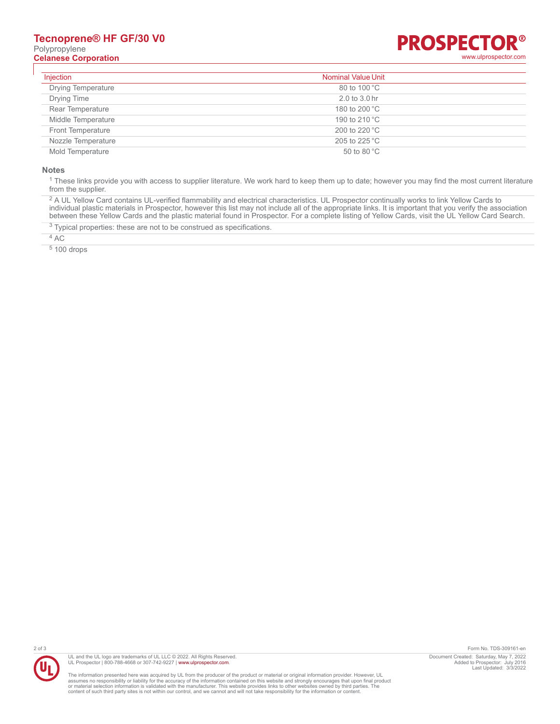## **Tecnoprene® HF GF/30 V0** Polypropylene **Celanese Corporation** [www.ulprospector.com](http://www.ulprospector.com)



| Injection                 | <b>Nominal Value Unit</b> |  |
|---------------------------|---------------------------|--|
| <b>Drying Temperature</b> | 80 to 100 °C              |  |
| <b>Drying Time</b>        | 2.0 to 3.0 hr             |  |
| Rear Temperature          | 180 to 200 °C             |  |
| Middle Temperature        | 190 to 210 °C             |  |
| <b>Front Temperature</b>  | 200 to 220 °C             |  |
| Nozzle Temperature        | 205 to 225 °C             |  |
| Mold Temperature          | 50 to 80 $^{\circ}$ C     |  |

### **Notes**

 $^1$  These links provide you with access to supplier literature. We work hard to keep them up to date; however you may find the most current literature from the supplier.

<sup>2</sup> A UL Yellow Card contains UL-verified flammability and electrical characteristics. UL Prospector continually works to link Yellow Cards to individual plastic materials in Prospector, however this list may not include all of the appropriate links. It is important that you verify the association between these Yellow Cards and the plastic material found in Prospector. For a complete listing of Yellow Cards, visit the UL Yellow Card Search.

 $3$  Typical properties: these are not to be construed as specifications.

4 AC

5 100 drops



UL and the UL logo are trademarks of UL LLC © 2022. All Rights Reserved. UL Prospector | 800-788-4668 or 307-742-9227 | [www.ulprospector.com](http://www.ulprospector.com).

The information presented here was acquired by UL from the producer of the product or material or original information provider. However, UL<br>assumes no responsibility or liability for the accuracy of the information contai

2 of 3 Form No. TDS-309161-en Document Created: Saturday, May 7, 2022 Added to Prospector: July 2016 Last Updated: 3/3/2022